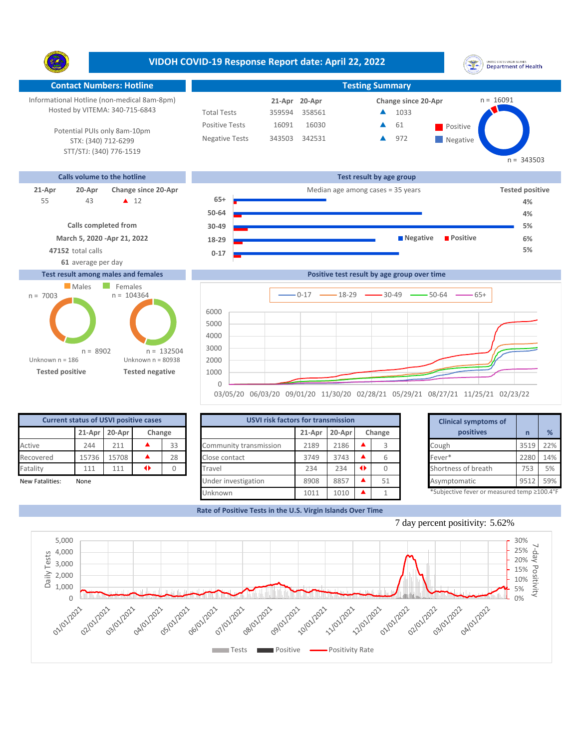Y. **Contact Numbers: Hotline Testing Summary** Informational Hotline (non-medical 8am-8pm)  $n = 16091$ **20-Apr 21-Apr Change since 20-Apr** Hosted by VITEMA: 340-715-6843 Total Tests 359594 358561 1033 ▲ 16091 16030 **4 61** Positive Positive Tests  $\blacktriangle$ 61 Potential PUIs only 8am-10pm Negative Tests 343503 342531 972 ▲ **Negative** STX: (340) 712-6299 STT/STJ: (340) 776-1519  $n = 343503$ **Calls volume to the hotline Test result by age group 21-Apr 20-Apr Change since 20-Apr Change since 20-Apr Change and** *Tested positive* **Median age among cases = 35 years Tested positive 65+** 43 **A** 12 55 **4% 50-64 4% Calls completed from 30-49 5% March 5, 2020 -Apr 21, 2022 Negative Positive 6% 18-29 47152** total calls **5% 0-17 61** average per day **Test result among males and females Positive test result by age group over time**





|                 | <b>Current status of USVI positive cases</b> |               |    |        | <b>USVI risk factors for transmission</b> |        |        |        | <b>Clinical symptoms of</b>                |      |               |
|-----------------|----------------------------------------------|---------------|----|--------|-------------------------------------------|--------|--------|--------|--------------------------------------------|------|---------------|
|                 |                                              | 21-Apr 20-Apr |    | Change |                                           | 21-Apr | 20-Apr | Change | positives                                  |      | $\frac{9}{6}$ |
| Active          | 244                                          | 211           |    | 33     | Community transmission                    | 2189   | 2186   |        | Cough                                      | 3519 | 22%           |
| Recovered       | 15736                                        | 15708         |    | 28     | Close contact                             | 3749   | 3743   |        | Fever*                                     | 2280 | 14%           |
| Fatality        | 111                                          | 111           | 41 |        | Travel                                    | 234    | 234    |        | Shortness of breath                        | 753  | 5%            |
| New Fatalities: | None                                         |               |    |        | Under investigation                       | 8908   | 8857   | 51     | Asymptomatic                               | 951  | 59%           |
|                 |                                              |               |    |        | Unknown                                   | 1011   | 1010   |        | *Subjective fever or measured temp ≥100.4° |      |               |

|        | for transmission |   |        |                     | <b>Clinical symptoms of</b>                 |      |     |
|--------|------------------|---|--------|---------------------|---------------------------------------------|------|-----|
| 21-Apr | 20-Apr           |   | Change |                     | positives                                   | n    |     |
| 2189   | 2186             |   | 3      | Cough               |                                             | 3519 | 22% |
| 3749   | 3743             |   | 6      | Fever*              |                                             | 2280 | 14% |
| 234    | 234              | ◆ |        | Shortness of breath |                                             | 753  |     |
| 8908   | 8857             |   | 51     | Asymptomatic        |                                             | 9512 | 59% |
| 1011   | 1010             |   | 1      |                     | *Subjective fever or measured temp >100 4°F |      |     |

▲ 1 1 \*Subjective fever or measured temp ≥100.4°F







## **VIDOH COVID-19 Response Report date: April 22, 2022**